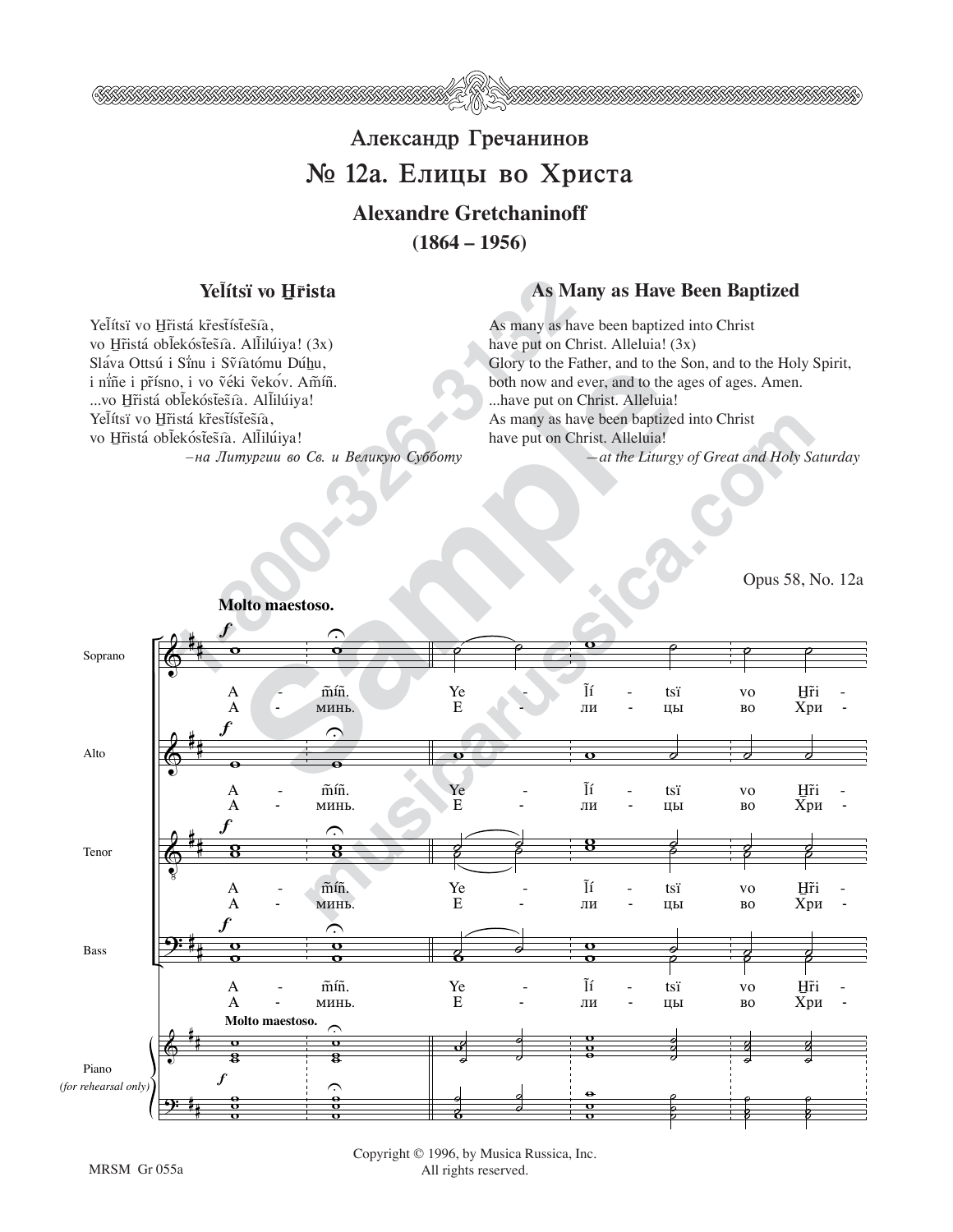

# Александр Гречанинов № 12а. Елицы во Христа **Alexandre Gretchaninoff**

 $(1864 - 1956)$ 

#### Yelítsï vo Hrista

Yelítsï vo Hřistá křestístesia,

Yelítsï vo Hřistá křestístesia,

vo Hřistá oblekóstešía. Allilúiya! (3x)

Sláva Ottsú i Sinu i Svíatómu Dúhu,

... vo Hřistá oblekóstesta. Allilúiya!

vo Hřistá oblekóstesía. Allilúiya!

i niñe i přísno, i vo véki vekov. Amíñ.

### **As Many as Have Been Baptized**

As many as have been baptized into Christ have put on Christ. Alleluia! (3x) Glory to the Father, and to the Son, and to the Holy Spirit, both now and ever, and to the ages of ages. Amen. ... have put on Christ. Alleluia! As many as have been baptized into Christ have put on Christ. Alleluia! -at the Liturgy of Great and Holy Saturday

Opus 58, No. 12a



Molto maestoso.

-на Литургии во Св. и Великую Субботу

Copyright © 1996, by Musica Russica, Inc. All rights reserved.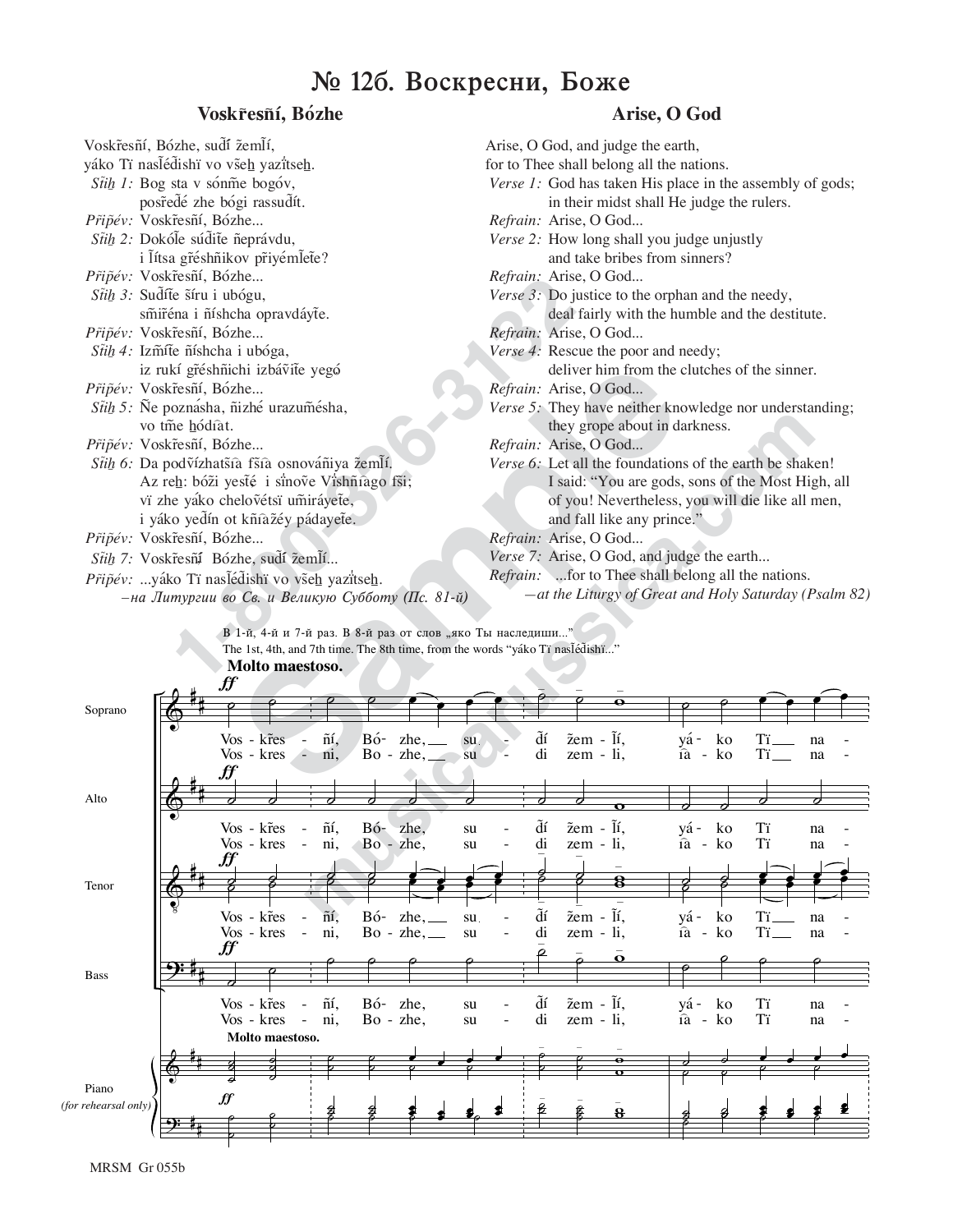## $\mathbb{N}$  126. Воскресни, Боже

#### Voskr̃esñí, Bózhe

| Voskřesñí, Bózhe, suďí žemlí,                                          | Arise, O God,         |
|------------------------------------------------------------------------|-----------------------|
| yáko Tï nasľéd̃ishï vo všeh yazïtseh.                                  | for to Thee sha       |
| Stih 1: Bog sta v sónme bogóv,                                         | Verse 1: God          |
| posředé zhe bógi rassudít.                                             | in th                 |
| Připév: Voskřesní, Bózhe                                               | Refrain: Aris         |
| Stih 2: Dokóle súdite neprávdu,                                        | <i>Verse 2:</i> How   |
| i lítsa gréshnikov priyémlete?                                         | and 1                 |
| Připév: Voskřesní, Bózhe                                               | Refrain: Arise        |
| Stih 3: Sudíte síru i ubógu,                                           | Verse 3: Do j         |
| smiréna i níshcha opravdáyte.                                          | deal                  |
| Připév: Voskřesní, Bózhe                                               | Refrain: Arise        |
| Stih 4: Izmíte níshcha i ubóga,                                        | Verse 4: Resc         |
| iz rukí gřéshñichi izbávite yegó                                       | deliy                 |
| Připév: Voskřesní, Bózhe                                               | <i>Refrain:</i> Arise |
| Stih 5: Ñe poznásha, ñizhé urazumésha,                                 | Verse 5: They         |
| vo tme hódiat.                                                         | they                  |
| Připév: Voskřesní, Bózhe                                               | Refrain: Arise        |
| Stih 6: Da podvízhatšía fšía osnovániya žemlí.                         | Verse 6: Let a        |
| Az reh: bóži yesté i sinove Vishñiago fši;                             | I said                |
| vï zhe yako chelovétsï umiráyete,                                      | of yo                 |
| i yáko yedín ot kñiažéy pádayete.                                      | and 1                 |
| Připév: Voskřesní, Bózhe                                               | <i>Refrain:</i> Arise |
| Stih 7: Voskresní Bózhe, sudí žemlí                                    | <i>Verse 7:</i> Aris  |
| Připév: yáko Ti naslédishi vo všeh yazitseh.                           | Refrain: fo           |
| -на Литургии во Св. и Великую Субботу (Пс. 81-й)                       | $-at$ the             |
| В 1-й, 4-й и 7-й раз. В 8-й раз от слов "яко Ты наследиши"             |                       |
| The 1st, 4th, and 7th time. The 8th time, from the words "yáko Tï nasl |                       |
| Molto maestoso.<br>cc                                                  |                       |

**Arise, O God**

- Arise, O God, and judge the earth, for to Thee shall belong all the nations. *Verse 1:* God has taken His place in the assembly of gods; in their midst shall He judge the rulers. *Refrain:* Arise, O God... *Verse 2:* How long shall you judge unjustly and take bribes from sinners? *Refrain:* Arise, O God... *Verse 3:* Do justice to the orphan and the needy, deal fairly with the humble and the destitute. *Refrain:* Arise, O God... *Verse 4:* Rescue the poor and needy; deliver him from the clutches of the sinner. *Refrain:* Arise, O God... *Verse 5:* They have neither knowledge nor understanding; they grope about in darkness. *Refrain:* Arise, O God... *Verse 6:* Let all the foundations of the earth be shaken! I said: "You are gods, sons of the Most High, all of you! Nevertheless, you will die like all men, and fall like any prince." *Refrain:* Arise, O God...
	- *Verse 7:* Arise, O God, and judge the earth...
	- *Refrain:* ...for to Thee shall belong all the nations.
		- *—at the Liturgy of Great and Holy Saturday (Psalm 82)*

|                      | iz rukí gřéshñichi izbávite yegó                 |                                                                               |     |                |             |     | deliver him from the clutches of the sinner.             |                                                       |   |             |    |    |    |  |  |
|----------------------|--------------------------------------------------|-------------------------------------------------------------------------------|-----|----------------|-------------|-----|----------------------------------------------------------|-------------------------------------------------------|---|-------------|----|----|----|--|--|
|                      | Připév: Voskřesní, Bózhe                         |                                                                               |     |                |             |     | Refrain: Arise, O God                                    |                                                       |   |             |    |    |    |  |  |
|                      | Stih 5: Ñe poznásha, ñizhé urazumésha,           |                                                                               |     |                |             |     | Verse 5: They have neither knowledge nor understanding;  |                                                       |   |             |    |    |    |  |  |
|                      | vo tme hódiat.                                   |                                                                               |     |                |             |     |                                                          | they grope about in darkness.                         |   |             |    |    |    |  |  |
|                      | Připév: Voskřesní, Bózhe                         |                                                                               |     |                |             |     |                                                          | Refrain: Arise, O God                                 |   |             |    |    |    |  |  |
|                      | Stih 6: Da podvízhatšía fšía osnovániya žemlí.   |                                                                               |     |                |             |     | Verse 6: Let all the foundations of the earth be shaken! |                                                       |   |             |    |    |    |  |  |
|                      | Az reh: bóži yesté i sinove Vishñiago fši;       |                                                                               |     |                |             |     | I said: "You are gods, sons of the Most High, all        |                                                       |   |             |    |    |    |  |  |
|                      | vï zhe yáko chelovétsï umiráyete,                |                                                                               |     |                |             |     | of you! Nevertheless, you will die like all men,         |                                                       |   |             |    |    |    |  |  |
|                      | i yáko yedín ot kñiažéy pádayete.                |                                                                               |     |                |             |     |                                                          | and fall like any prince."                            |   |             |    |    |    |  |  |
|                      | Připév: Voskřesní, Bózhe                         |                                                                               |     |                |             |     |                                                          | Refrain: Arise, O God                                 |   |             |    |    |    |  |  |
|                      | Stih 7: Voskřesní Bózhe, sudí žemlí              |                                                                               |     |                |             |     |                                                          | Verse 7: Arise, O God, and judge the earth            |   |             |    |    |    |  |  |
|                      | Připév: yáko Ti naslédishï vo všeh yazitseh.     |                                                                               |     |                |             |     | Refrain: for to Thee shall belong all the nations.       |                                                       |   |             |    |    |    |  |  |
|                      | -на Литургии во Св. и Великую Субботу (Пс. 81-й) |                                                                               |     |                |             |     |                                                          | -at the Liturgy of Great and Holy Saturday (Psalm 82) |   |             |    |    |    |  |  |
|                      |                                                  |                                                                               |     |                |             |     |                                                          |                                                       |   |             |    |    |    |  |  |
|                      |                                                  | В 1-й, 4-й и 7-й раз. В 8-й раз от слов "яко Ты наследиши"                    |     |                |             |     |                                                          |                                                       |   |             |    |    |    |  |  |
|                      |                                                  | The 1st, 4th, and 7th time. The 8th time, from the words "yáko Tï naslédishï" |     |                |             |     |                                                          |                                                       |   |             |    |    |    |  |  |
|                      |                                                  | Molto maestoso.                                                               |     |                |             |     |                                                          |                                                       |   |             |    |    |    |  |  |
|                      | ₩                                                |                                                                               |     |                |             |     |                                                          |                                                       |   |             |    |    |    |  |  |
| Soprano              |                                                  |                                                                               |     |                |             |     |                                                          |                                                       |   |             |    |    |    |  |  |
|                      |                                                  | Vos - kr̃es                                                                   | ñí, | Bó-            |             | su. | ďí                                                       | žem - lí,                                             |   | yá -        | ko | Тï | na |  |  |
|                      |                                                  | Vos - kres<br>$\hat{=}$                                                       | ni, |                | $Bo - zhe,$ | su  | di                                                       | $zem - li,$                                           |   | $\hat{a}$ - | ko | Tï | na |  |  |
|                      | .ff                                              |                                                                               |     |                |             |     |                                                          |                                                       |   |             |    |    |    |  |  |
| Alto                 |                                                  |                                                                               |     |                |             |     |                                                          |                                                       |   |             |    |    |    |  |  |
|                      |                                                  |                                                                               |     |                |             |     |                                                          |                                                       |   |             |    |    |    |  |  |
|                      |                                                  | Vos - kr̃es<br>$\overline{a}$                                                 | ñí, | Bó-            | zhe.        | su  | ďí                                                       | žem - lí,                                             |   | yá -        | ko | Tï | na |  |  |
|                      |                                                  | Vos - kres<br>$\equiv$                                                        | ni, | Bo - zhe,      |             | su  | di                                                       | zem - li,                                             |   | ía - ko     |    | Tï | na |  |  |
|                      |                                                  |                                                                               |     |                |             |     |                                                          |                                                       |   |             |    |    |    |  |  |
| Tenor                |                                                  |                                                                               |     |                |             |     |                                                          |                                                       | 8 |             |    |    |    |  |  |
|                      |                                                  | Vos - kr̃es<br>$\overline{\phantom{a}}$                                       | ñí, | $B\acute{o}$ - | $zhe, \_\_$ | su. | ďí                                                       | žem - Ĩí,                                             |   | yá -        | ko | Ίï | na |  |  |
|                      |                                                  | Vos - kres<br>$\sim$                                                          | ni, |                |             | su  | di                                                       | $zem - li,$                                           |   | ía - ko     |    | Tï | na |  |  |
|                      | ,ff                                              |                                                                               |     |                |             |     | ο                                                        |                                                       |   |             |    |    |    |  |  |
| <b>Bass</b>          |                                                  |                                                                               |     |                |             |     |                                                          |                                                       |   |             |    |    |    |  |  |
|                      |                                                  |                                                                               |     |                |             |     |                                                          |                                                       |   |             |    |    |    |  |  |
|                      |                                                  | Vos - kr̃es<br>$\frac{1}{2}$                                                  | ñí, | $B\acute{o}$ - | zhe,        | su  | $\tilde{d}$ í                                            | žem - lí,                                             |   | yá -        | ko | Tï | na |  |  |
|                      |                                                  | Vos - kres                                                                    | ni, | $Bo - zhe$ ,   |             | su  | di                                                       | $zem - li$ ,                                          |   | $\hat{a}$ - | ko | Tï | na |  |  |
|                      |                                                  | Molto maestoso.                                                               |     |                |             |     |                                                          |                                                       |   |             |    |    |    |  |  |
|                      |                                                  |                                                                               |     |                |             |     |                                                          |                                                       |   |             |    |    |    |  |  |
| Piano                |                                                  |                                                                               |     |                |             |     |                                                          |                                                       |   |             |    |    |    |  |  |
| (for rehearsal only) | ∬                                                |                                                                               |     |                |             |     | B                                                        |                                                       | 8 |             |    |    |    |  |  |
|                      |                                                  |                                                                               |     |                |             |     |                                                          |                                                       |   |             |    |    |    |  |  |
|                      |                                                  |                                                                               |     |                |             |     |                                                          |                                                       |   |             |    |    |    |  |  |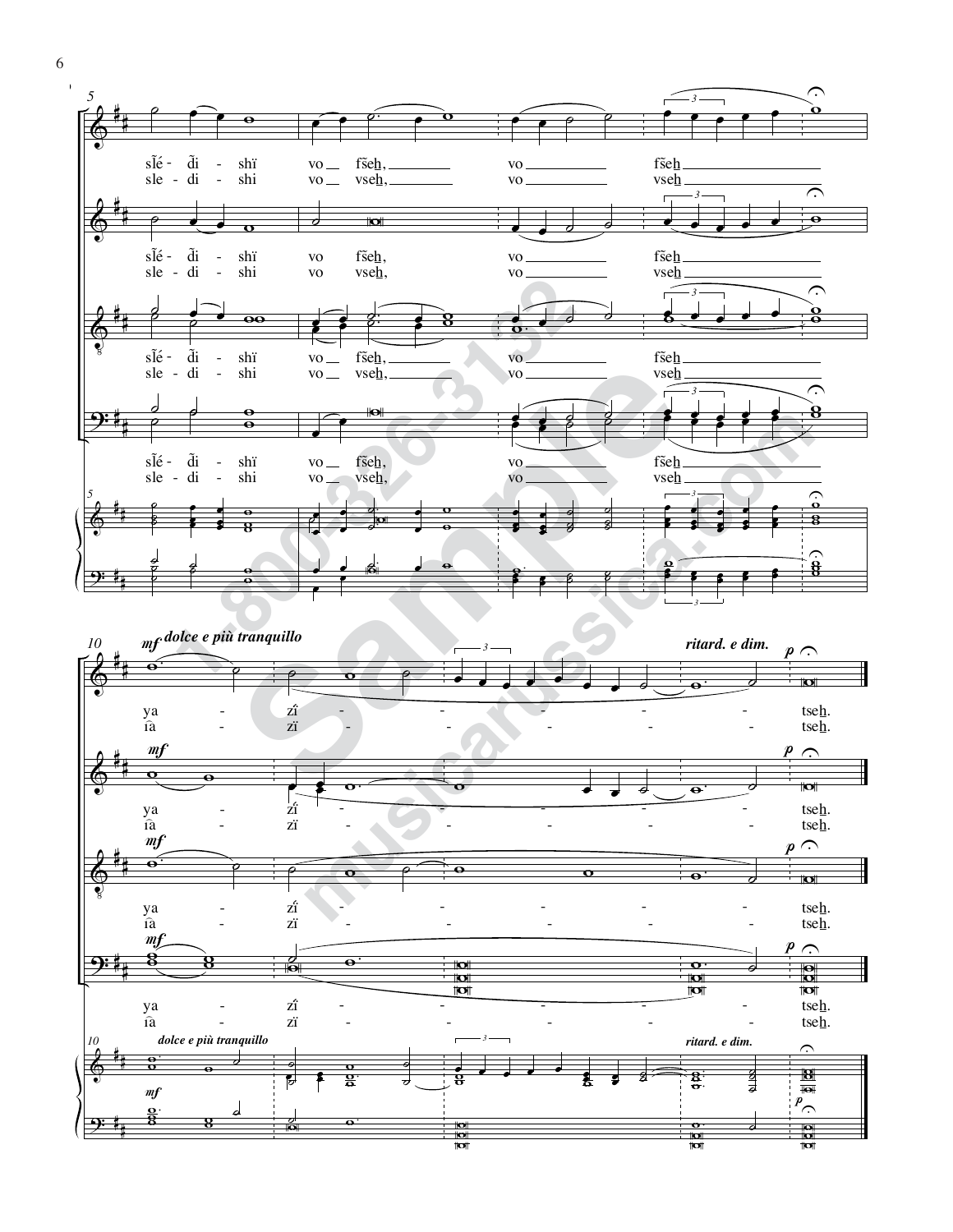

6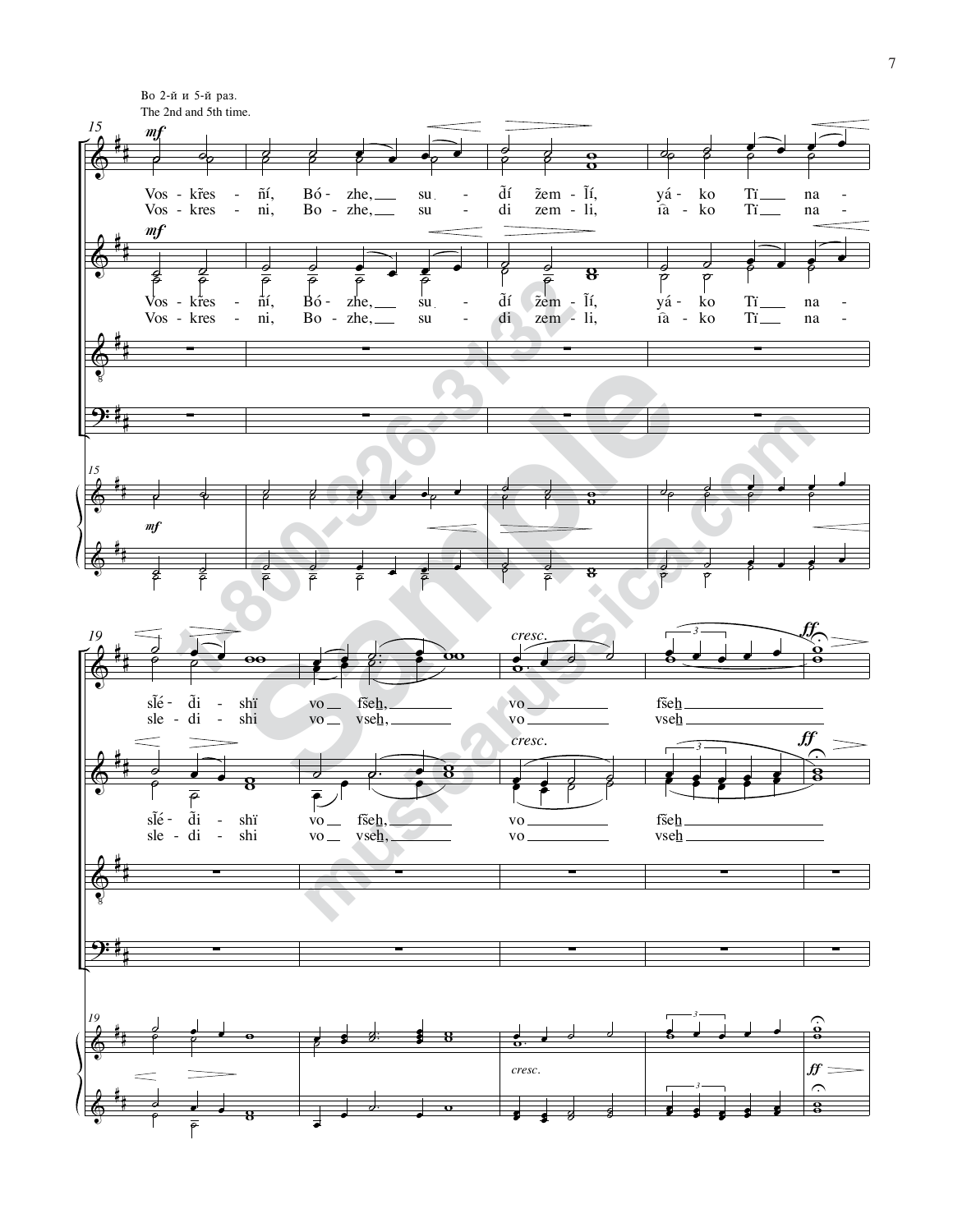